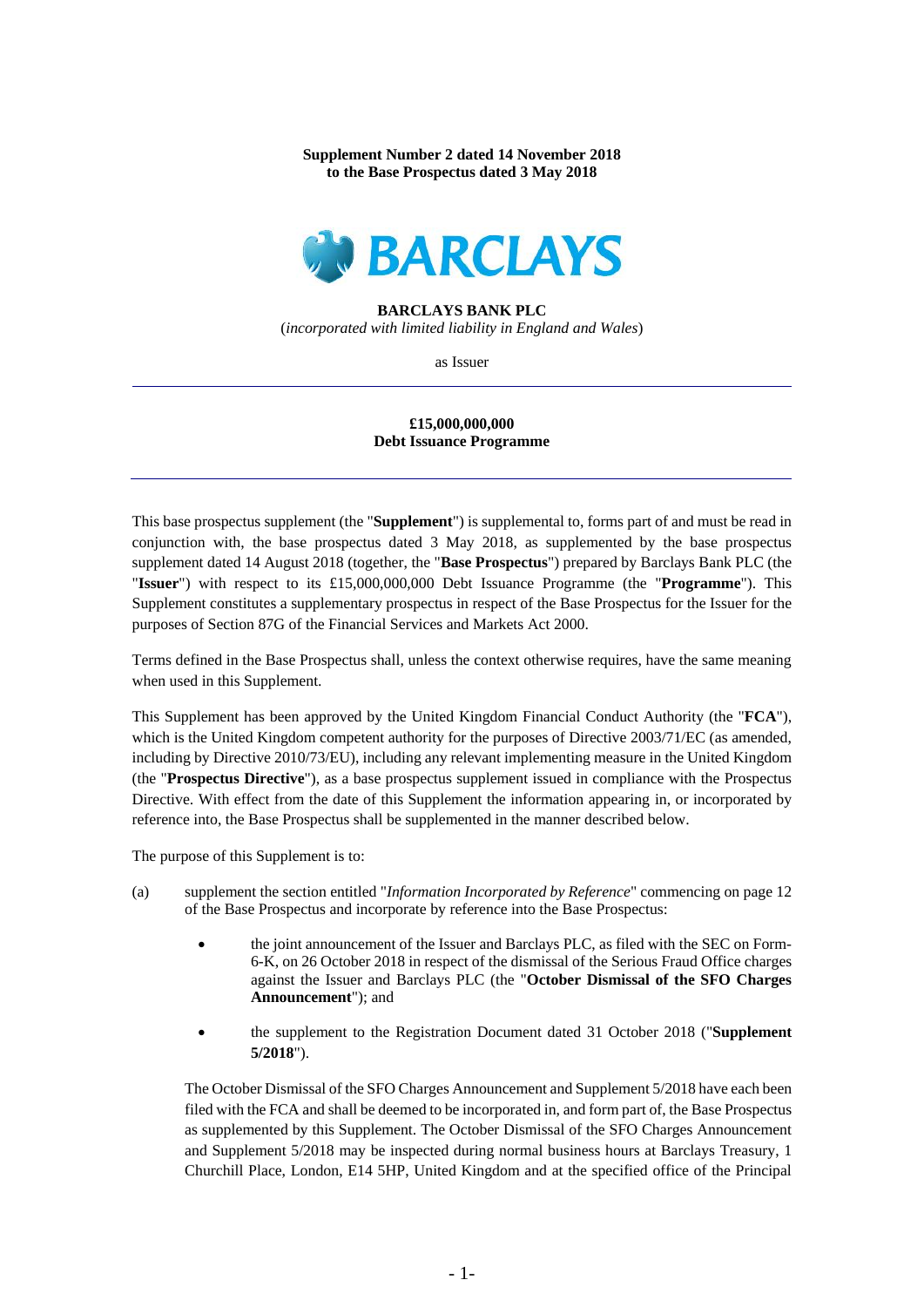**Supplement Number 2 dated 14 November 2018 to the Base Prospectus dated 3 May 2018**



## **BARCLAYS BANK PLC**

(*incorporated with limited liability in England and Wales*)

as Issuer

## **£15,000,000,000 Debt Issuance Programme**

This base prospectus supplement (the "**Supplement**") is supplemental to, forms part of and must be read in conjunction with, the base prospectus dated 3 May 2018, as supplemented by the base prospectus supplement dated 14 August 2018 (together, the "**Base Prospectus**") prepared by Barclays Bank PLC (the "**Issuer**") with respect to its £15,000,000,000 Debt Issuance Programme (the "**Programme**"). This Supplement constitutes a supplementary prospectus in respect of the Base Prospectus for the Issuer for the purposes of Section 87G of the Financial Services and Markets Act 2000.

Terms defined in the Base Prospectus shall, unless the context otherwise requires, have the same meaning when used in this Supplement.

This Supplement has been approved by the United Kingdom Financial Conduct Authority (the "**FCA**"), which is the United Kingdom competent authority for the purposes of Directive 2003/71/EC (as amended, including by Directive 2010/73/EU), including any relevant implementing measure in the United Kingdom (the "**Prospectus Directive**"), as a base prospectus supplement issued in compliance with the Prospectus Directive. With effect from the date of this Supplement the information appearing in, or incorporated by reference into, the Base Prospectus shall be supplemented in the manner described below.

The purpose of this Supplement is to:

- (a) supplement the section entitled "*Information Incorporated by Reference*" commencing on page 12 of the Base Prospectus and incorporate by reference into the Base Prospectus:
	- the joint announcement of the Issuer and Barclays PLC, as filed with the SEC on Form-6-K, on 26 October 2018 in respect of the dismissal of the Serious Fraud Office charges against the Issuer and Barclays PLC (the "**October Dismissal of the SFO Charges Announcement**"); and
	- the supplement to the Registration Document dated 31 October 2018 ("**Supplement 5/2018**").

The October Dismissal of the SFO Charges Announcement and Supplement 5/2018 have each been filed with the FCA and shall be deemed to be incorporated in, and form part of, the Base Prospectus as supplemented by this Supplement. The October Dismissal of the SFO Charges Announcement and Supplement 5/2018 may be inspected during normal business hours at Barclays Treasury, 1 Churchill Place, London, E14 5HP, United Kingdom and at the specified office of the Principal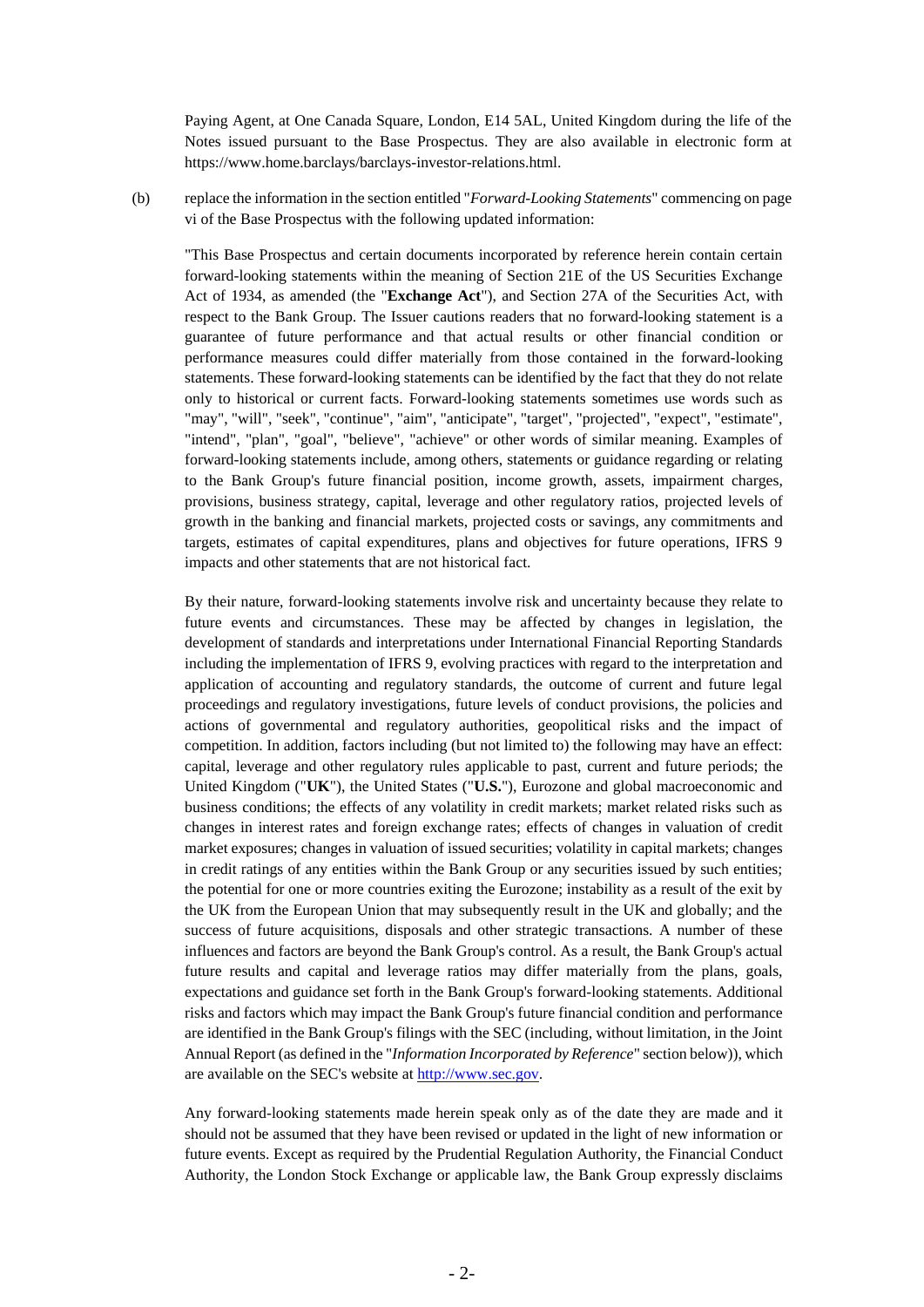Paying Agent, at One Canada Square, London, E14 5AL, United Kingdom during the life of the Notes issued pursuant to the Base Prospectus. They are also available in electronic form at https://www.home.barclays/barclays-investor-relations.html.

(b) replace the information in the section entitled "*Forward-Looking Statements*" commencing on page vi of the Base Prospectus with the following updated information:

"This Base Prospectus and certain documents incorporated by reference herein contain certain forward-looking statements within the meaning of Section 21E of the US Securities Exchange Act of 1934, as amended (the "**Exchange Act**"), and Section 27A of the Securities Act, with respect to the Bank Group. The Issuer cautions readers that no forward-looking statement is a guarantee of future performance and that actual results or other financial condition or performance measures could differ materially from those contained in the forward-looking statements. These forward-looking statements can be identified by the fact that they do not relate only to historical or current facts. Forward-looking statements sometimes use words such as "may", "will", "seek", "continue", "aim", "anticipate", "target", "projected", "expect", "estimate", "intend", "plan", "goal", "believe", "achieve" or other words of similar meaning. Examples of forward-looking statements include, among others, statements or guidance regarding or relating to the Bank Group's future financial position, income growth, assets, impairment charges, provisions, business strategy, capital, leverage and other regulatory ratios, projected levels of growth in the banking and financial markets, projected costs or savings, any commitments and targets, estimates of capital expenditures, plans and objectives for future operations, IFRS 9 impacts and other statements that are not historical fact.

By their nature, forward-looking statements involve risk and uncertainty because they relate to future events and circumstances. These may be affected by changes in legislation, the development of standards and interpretations under International Financial Reporting Standards including the implementation of IFRS 9, evolving practices with regard to the interpretation and application of accounting and regulatory standards, the outcome of current and future legal proceedings and regulatory investigations, future levels of conduct provisions, the policies and actions of governmental and regulatory authorities, geopolitical risks and the impact of competition. In addition, factors including (but not limited to) the following may have an effect: capital, leverage and other regulatory rules applicable to past, current and future periods; the United Kingdom ("**UK**"), the United States ("**U.S.**"), Eurozone and global macroeconomic and business conditions; the effects of any volatility in credit markets; market related risks such as changes in interest rates and foreign exchange rates; effects of changes in valuation of credit market exposures; changes in valuation of issued securities; volatility in capital markets; changes in credit ratings of any entities within the Bank Group or any securities issued by such entities; the potential for one or more countries exiting the Eurozone; instability as a result of the exit by the UK from the European Union that may subsequently result in the UK and globally; and the success of future acquisitions, disposals and other strategic transactions. A number of these influences and factors are beyond the Bank Group's control. As a result, the Bank Group's actual future results and capital and leverage ratios may differ materially from the plans, goals, expectations and guidance set forth in the Bank Group's forward-looking statements. Additional risks and factors which may impact the Bank Group's future financial condition and performance are identified in the Bank Group's filings with the SEC (including, without limitation, in the Joint Annual Report (as defined in the "*Information Incorporated by Reference*" section below)), which are available on the SEC's website at [http://www.sec.gov.](http://www.sec.gov/)

Any forward-looking statements made herein speak only as of the date they are made and it should not be assumed that they have been revised or updated in the light of new information or future events. Except as required by the Prudential Regulation Authority, the Financial Conduct Authority, the London Stock Exchange or applicable law, the Bank Group expressly disclaims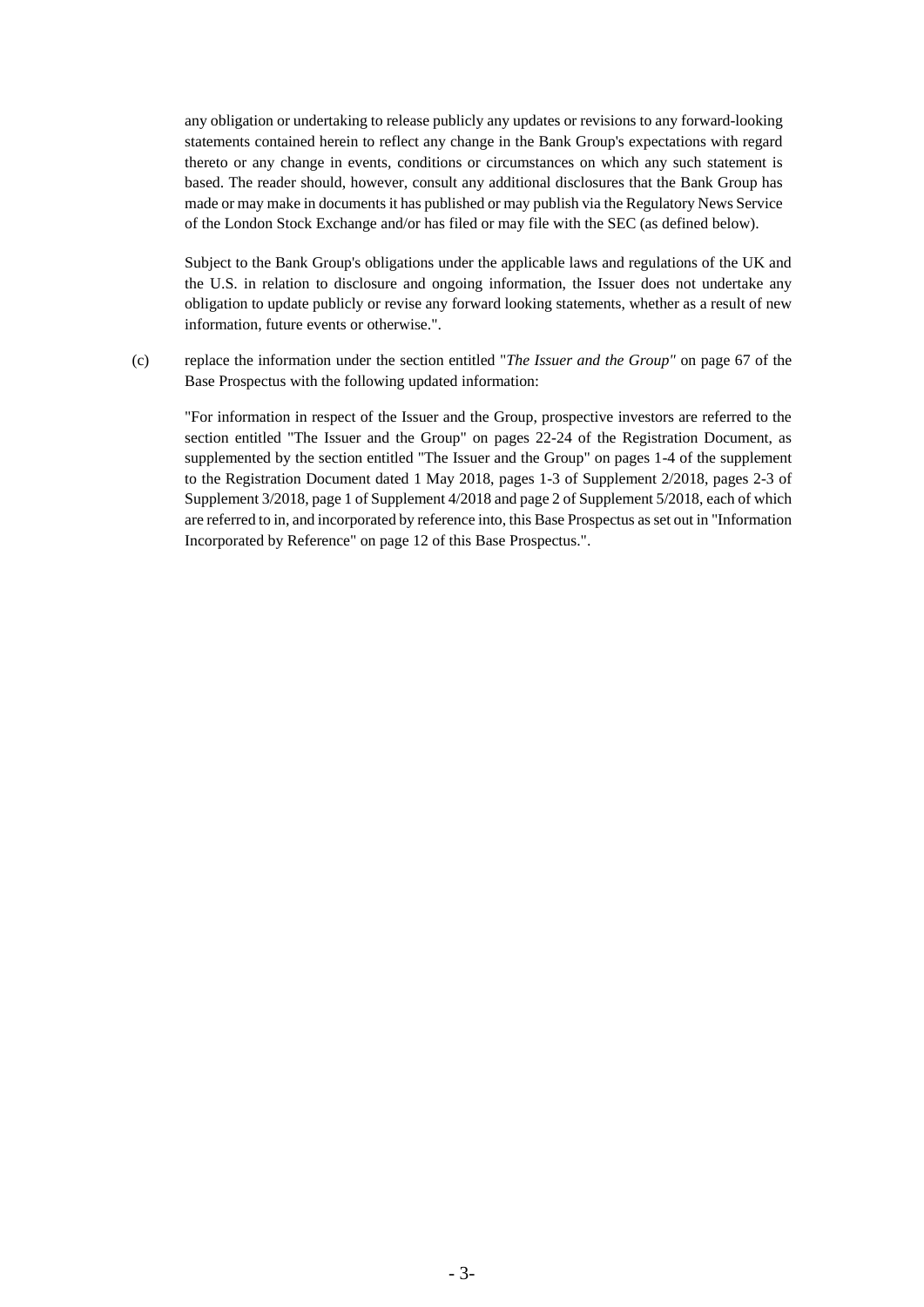any obligation or undertaking to release publicly any updates or revisions to any forward-looking statements contained herein to reflect any change in the Bank Group's expectations with regard thereto or any change in events, conditions or circumstances on which any such statement is based. The reader should, however, consult any additional disclosures that the Bank Group has made or may make in documents it has published or may publish via the Regulatory News Service of the London Stock Exchange and/or has filed or may file with the SEC (as defined below).

Subject to the Bank Group's obligations under the applicable laws and regulations of the UK and the U.S. in relation to disclosure and ongoing information, the Issuer does not undertake any obligation to update publicly or revise any forward looking statements, whether as a result of new information, future events or otherwise.".

(c) replace the information under the section entitled "*The Issuer and the Group"* on page 67 of the Base Prospectus with the following updated information:

"For information in respect of the Issuer and the Group, prospective investors are referred to the section entitled "The Issuer and the Group" on pages 22-24 of the Registration Document, as supplemented by the section entitled "The Issuer and the Group" on pages 1-4 of the supplement to the Registration Document dated 1 May 2018, pages 1-3 of Supplement 2/2018, pages 2-3 of Supplement 3/2018, page 1 of Supplement 4/2018 and page 2 of Supplement 5/2018, each of which are referred to in, and incorporated by reference into, this Base Prospectus as set out in "Information Incorporated by Reference" on page 12 of this Base Prospectus.".